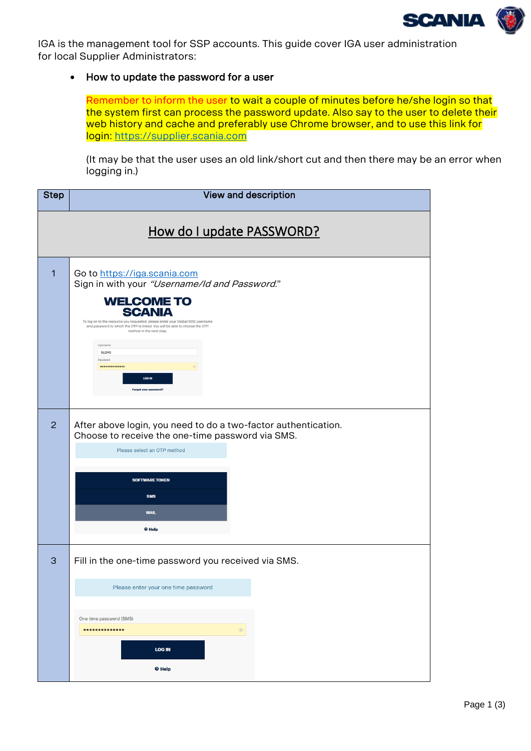

<span id="page-0-0"></span>IGA is the management tool for SSP accounts. This guide cover IGA user administration for local Supplier Administrators:

## • How to update the password for a user

Remember to inform the user to wait a couple of minutes before he/she login so that the system first can process the password update. Also say to the user to delete their web history and cache and preferably use Chrome browser, and to use this link for login: https://supplier.scania.com

(It may be that the user uses an old link/short cut and then there may be an error when logging in.)

| <b>Step</b>               | View and description                                                                                                                                                                                                                                                                                                                                                                       |  |
|---------------------------|--------------------------------------------------------------------------------------------------------------------------------------------------------------------------------------------------------------------------------------------------------------------------------------------------------------------------------------------------------------------------------------------|--|
| How do I update PASSWORD? |                                                                                                                                                                                                                                                                                                                                                                                            |  |
| 1                         | Go to https://iga.scania.com<br>Sign in with your "Username/Id and Password."<br><b>WELCOME TO</b><br><b>SCANIA</b><br>To log on to the resource you requested, please enter your Global/XDS username<br>and password to which the OTP is linked. You will be able to choose the OTP<br>method in the next step.<br>Username<br>\$12345<br>Password<br><br>LOG IN<br>Forgot your password? |  |
| 2                         | After above login, you need to do a two-factor authentication.<br>Choose to receive the one-time password via SMS.<br>Please select an OTP method<br><b>SOFTWARE TOKEN</b><br><b>SMS</b><br><b>MAIL</b><br><b>O</b> Help                                                                                                                                                                   |  |
| 3                         | Fill in the one-time password you received via SMS.<br>Please enter your one time password<br>One time password (SMS)<br>$•••••••••••••••••$<br>$\circledcirc$<br><b>LOG IN</b><br><b>O</b> Help                                                                                                                                                                                           |  |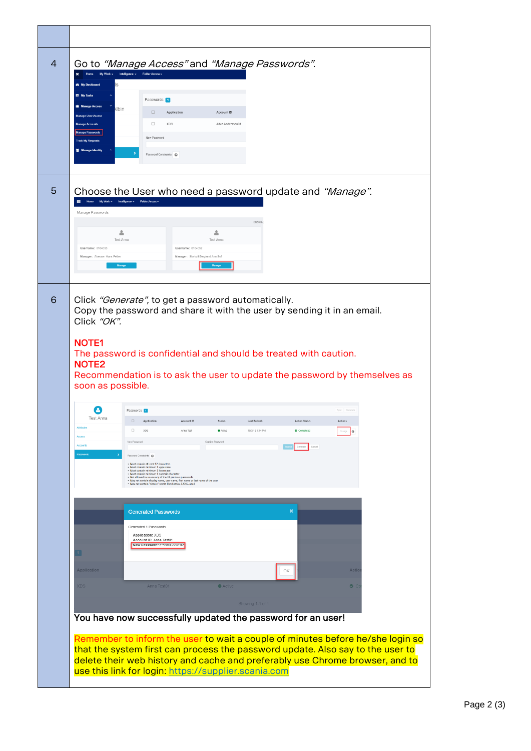| 4 | Go to "Manage Access" and "Manage Passwords".<br>Home My Work = Intelligence = Folder Access =<br><b><i>R</i></b> My Dashboard<br>$\overline{\mathcal{R}}$<br><b>ER</b> My Tasks<br>Passwords 1<br><b>Manage Access</b><br><b>Ibin</b><br>$\Box$<br>Application<br>Account ID<br><b>Manage User Access</b><br>$\Box$<br><b>XDS</b><br>Albin Andersson01<br>New Password<br>Password Constraints @                                                                                                                                                                                                                                                                                                                                                                                                                                                                                                                                                                       |
|---|-------------------------------------------------------------------------------------------------------------------------------------------------------------------------------------------------------------------------------------------------------------------------------------------------------------------------------------------------------------------------------------------------------------------------------------------------------------------------------------------------------------------------------------------------------------------------------------------------------------------------------------------------------------------------------------------------------------------------------------------------------------------------------------------------------------------------------------------------------------------------------------------------------------------------------------------------------------------------|
| 5 | Choose the User who need a password update and "Manage".<br>Home My Work = Intelligence = Folder Access =<br>Manage Passwords<br>Showin<br>å<br>å<br><b>Test Anna</b><br><b>Test Anna</b><br>Username: 0104053<br>Username: 0104052<br>Manager: Akesson Hans Petter<br>Manager: Storkull-Berglund Ann-Sofi                                                                                                                                                                                                                                                                                                                                                                                                                                                                                                                                                                                                                                                              |
| 6 | Click "Generate", to get a password automatically.<br>Copy the password and share it with the user by sending it in an email.<br>Click "OK".<br><b>NOTE1</b><br>The password is confidential and should be treated with caution.<br><b>NOTE2</b><br>Recommendation is to ask the user to update the password by themselves as<br>soon as possible.<br>Ø<br>Passwords 1<br><b>Test Anna</b><br>$\Box$<br>Application<br>Account ID<br>Status<br>Last Refresh<br><b>Action Status</b><br>Actions<br>$\theta$<br>Access<br>New Password<br>Confirm Password<br>Cancel<br>Password Constraints<br>· Must contain at least 12 characters<br>· Must contain minimum 1 uppercase<br>- Must contain minimum 1 lowercase<br>- Must contain minimum 1 numeric character<br>. Not allowed to re-use any of the 24 previous passwords<br>May not contain display name, user name, first name or last name of the user<br>· May not contain "simple" words like: Scania, 12345, abcd |
|   | <b>Generated Passwords</b><br>$\mathbf x$<br>Generated 1 Passwords<br>Application: XDS<br>Account ID: Anna Test01<br>New Password: c*S9hX~9WHI2<br><b>Application</b><br>Actic<br>OK<br><b>XDS</b><br>Anna Test01<br>Active<br>$\bullet$ $\circ$<br>Showing 1-1 of 1<br>You have now successfully updated the password for an user!<br>Remember to inform the user to wait a couple of minutes before he/she login so<br>that the system first can process the password update. Also say to the user to<br>delete their web history and cache and preferably use Chrome browser, and to<br>use this link for login: https://supplier.scania.com                                                                                                                                                                                                                                                                                                                         |